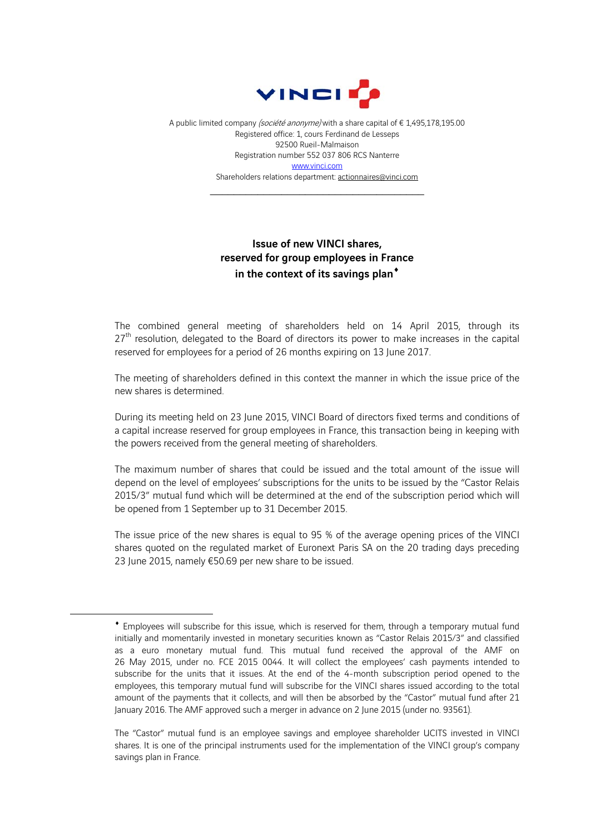

A public limited company (société anonyme) with a share capital of € 1,495,178,195.00 Registered office: 1, cours Ferdinand de Lesseps 92500 Rueil-Malmaison Registration number 552 037 806 RCS Nanterre www.vinci.com Shareholders relations department: actionnaires@vinci.com

\_\_\_\_\_\_\_\_\_\_\_\_\_\_\_\_\_\_\_\_\_\_\_\_\_\_\_\_\_\_\_\_\_\_\_\_

## Issue of new VINCI shares, reserved for group employees in France in the context of its savings plan<sup>\*</sup>

The combined general meeting of shareholders held on 14 April 2015, through its  $27<sup>th</sup>$  resolution, delegated to the Board of directors its power to make increases in the capital reserved for employees for a period of 26 months expiring on 13 June 2017.

The meeting of shareholders defined in this context the manner in which the issue price of the new shares is determined.

During its meeting held on 23 June 2015, VINCI Board of directors fixed terms and conditions of a capital increase reserved for group employees in France, this transaction being in keeping with the powers received from the general meeting of shareholders.

The maximum number of shares that could be issued and the total amount of the issue will depend on the level of employees' subscriptions for the units to be issued by the "Castor Relais 2015/3" mutual fund which will be determined at the end of the subscription period which will be opened from 1 September up to 31 December 2015.

The issue price of the new shares is equal to 95 % of the average opening prices of the VINCI shares quoted on the regulated market of Euronext Paris SA on the 20 trading days preceding 23 June 2015, namely €50.69 per new share to be issued.

1

Employees will subscribe for this issue, which is reserved for them, through a temporary mutual fund initially and momentarily invested in monetary securities known as "Castor Relais 2015/3" and classified as a euro monetary mutual fund. This mutual fund received the approval of the AMF on 26 May 2015, under no. FCE 2015 0044. It will collect the employees' cash payments intended to subscribe for the units that it issues. At the end of the 4-month subscription period opened to the employees, this temporary mutual fund will subscribe for the VINCI shares issued according to the total amount of the payments that it collects, and will then be absorbed by the "Castor" mutual fund after 21 January 2016. The AMF approved such a merger in advance on 2 June 2015 (under no. 93561).

The "Castor" mutual fund is an employee savings and employee shareholder UCITS invested in VINCI shares. It is one of the principal instruments used for the implementation of the VINCI group's company savings plan in France.